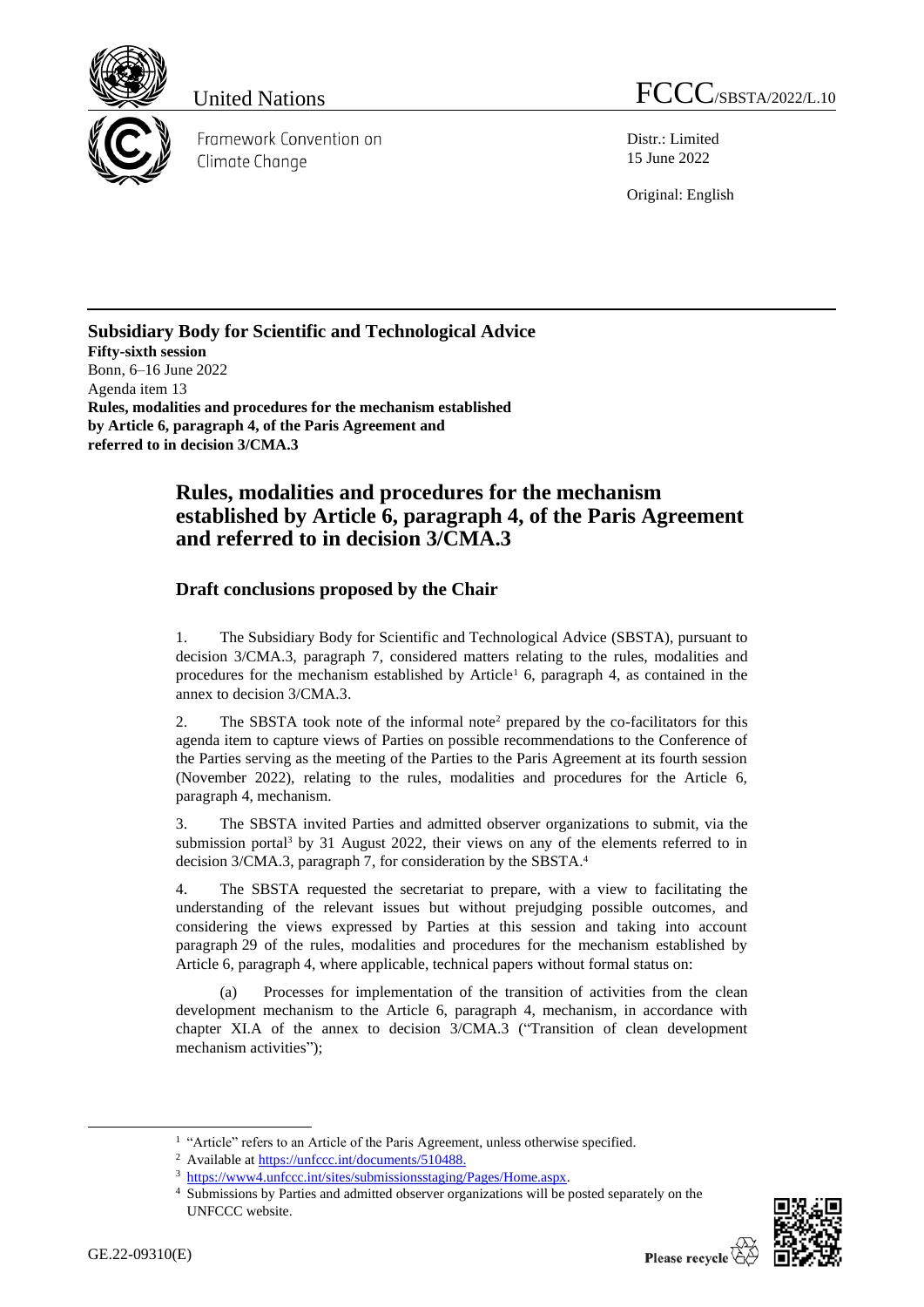

Framework Convention on Climate Change

United Nations FCCC/SBSTA/2022/L.10

Distr.: Limited 15 June 2022

Original: English

**Subsidiary Body for Scientific and Technological Advice Fifty-sixth session** Bonn, 6–16 June 2022 Agenda item 13 **Rules, modalities and procedures for the mechanism established by Article 6, paragraph 4, of the Paris Agreement and referred to in decision 3/CMA.3**

## **Rules, modalities and procedures for the mechanism established by Article 6, paragraph 4, of the Paris Agreement and referred to in decision 3/CMA.3**

## **Draft conclusions proposed by the Chair**

1. The Subsidiary Body for Scientific and Technological Advice (SBSTA), pursuant to decision 3/CMA.3, paragraph 7, considered matters relating to the rules, modalities and procedures for the mechanism established by Article<sup>1</sup> 6, paragraph 4, as contained in the annex to decision 3/CMA.3.

2. The SBSTA took note of the informal note<sup>2</sup> prepared by the co-facilitators for this agenda item to capture views of Parties on possible recommendations to the Conference of the Parties serving as the meeting of the Parties to the Paris Agreement at its fourth session (November 2022), relating to the rules, modalities and procedures for the Article 6, paragraph 4, mechanism.

3. The SBSTA invited Parties and admitted observer organizations to submit, via the submission portal<sup>3</sup> by 31 August 2022, their views on any of the elements referred to in decision 3/CMA.3, paragraph 7, for consideration by the SBSTA. 4

4. The SBSTA requested the secretariat to prepare, with a view to facilitating the understanding of the relevant issues but without prejudging possible outcomes, and considering the views expressed by Parties at this session and taking into account paragraph 29 of the rules, modalities and procedures for the mechanism established by Article 6, paragraph 4, where applicable, technical papers without formal status on:

Processes for implementation of the transition of activities from the clean development mechanism to the Article 6, paragraph 4, mechanism, in accordance with chapter XI.A of the annex to decision 3/CMA.3 ("Transition of clean development mechanism activities");

<sup>4</sup> Submissions by Parties and admitted observer organizations will be posted separately on the UNFCCC website.



<sup>&</sup>lt;sup>1</sup> "Article" refers to an Article of the Paris Agreement, unless otherwise specified.

<sup>&</sup>lt;sup>2</sup> Available a[t https://unfccc.int/documents/510488.](https://unfccc.int/documents/510488)

<sup>3</sup> [https://www4.unfccc.int/sites/submissionsstaging/Pages/Home.aspx.](https://www4.unfccc.int/sites/submissionsstaging/Pages/Home.aspx)